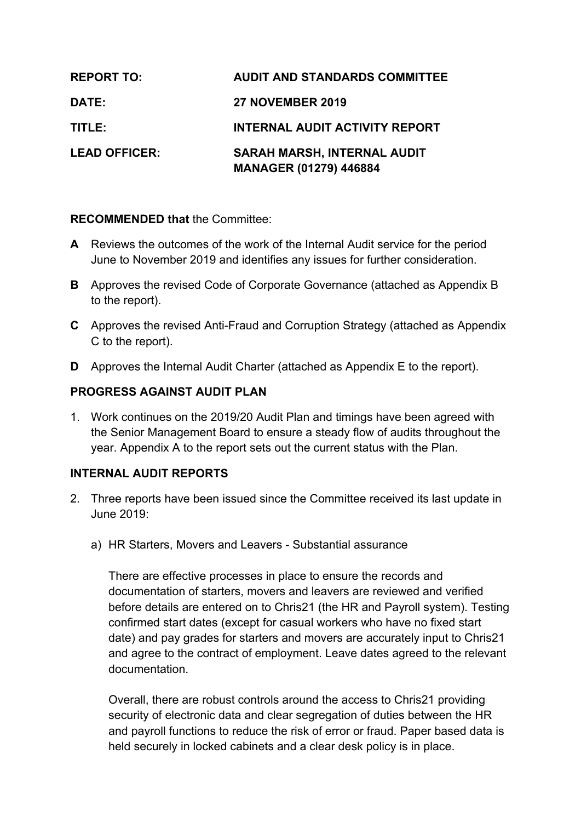| <b>REPORT TO:</b>    | <b>AUDIT AND STANDARDS COMMITTEE</b>                                |
|----------------------|---------------------------------------------------------------------|
| <b>DATE:</b>         | <b>27 NOVEMBER 2019</b>                                             |
| TITLE:               | <b>INTERNAL AUDIT ACTIVITY REPORT</b>                               |
| <b>LEAD OFFICER:</b> | <b>SARAH MARSH, INTERNAL AUDIT</b><br><b>MANAGER (01279) 446884</b> |

#### **RECOMMENDED that** the Committee:

- **A** Reviews the outcomes of the work of the Internal Audit service for the period June to November 2019 and identifies any issues for further consideration.
- **B** Approves the revised Code of Corporate Governance (attached as Appendix B to the report).
- **C** Approves the revised Anti-Fraud and Corruption Strategy (attached as Appendix C to the report).
- **D** Approves the Internal Audit Charter (attached as Appendix E to the report).

#### **PROGRESS AGAINST AUDIT PLAN**

1. Work continues on the 2019/20 Audit Plan and timings have been agreed with the Senior Management Board to ensure a steady flow of audits throughout the year. Appendix A to the report sets out the current status with the Plan.

#### **INTERNAL AUDIT REPORTS**

- 2. Three reports have been issued since the Committee received its last update in June 2019:
	- a) HR Starters, Movers and Leavers Substantial assurance

There are effective processes in place to ensure the records and documentation of starters, movers and leavers are reviewed and verified before details are entered on to Chris21 (the HR and Payroll system). Testing confirmed start dates (except for casual workers who have no fixed start date) and pay grades for starters and movers are accurately input to Chris21 and agree to the contract of employment. Leave dates agreed to the relevant documentation.

Overall, there are robust controls around the access to Chris21 providing security of electronic data and clear segregation of duties between the HR and payroll functions to reduce the risk of error or fraud. Paper based data is held securely in locked cabinets and a clear desk policy is in place.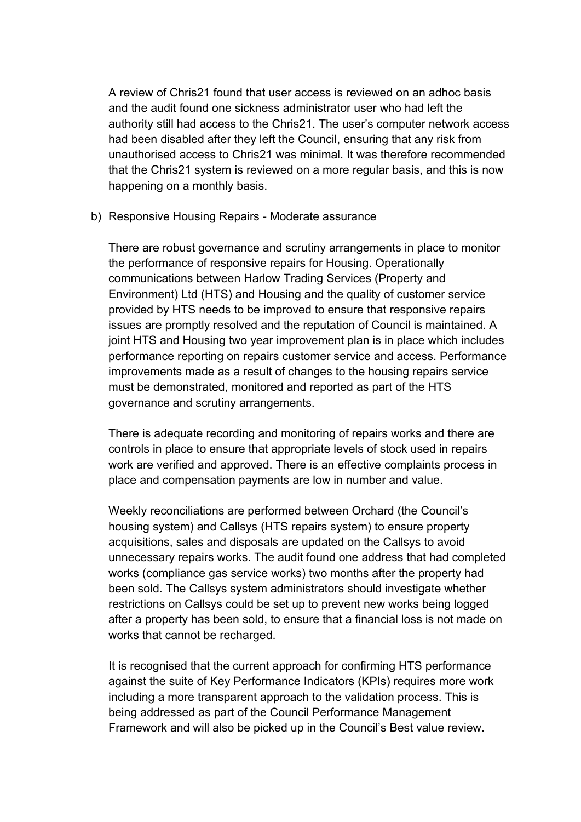A review of Chris21 found that user access is reviewed on an adhoc basis and the audit found one sickness administrator user who had left the authority still had access to the Chris21. The user's computer network access had been disabled after they left the Council, ensuring that any risk from unauthorised access to Chris21 was minimal. It was therefore recommended that the Chris21 system is reviewed on a more regular basis, and this is now happening on a monthly basis.

b) Responsive Housing Repairs - Moderate assurance

There are robust governance and scrutiny arrangements in place to monitor the performance of responsive repairs for Housing. Operationally communications between Harlow Trading Services (Property and Environment) Ltd (HTS) and Housing and the quality of customer service provided by HTS needs to be improved to ensure that responsive repairs issues are promptly resolved and the reputation of Council is maintained. A joint HTS and Housing two year improvement plan is in place which includes performance reporting on repairs customer service and access. Performance improvements made as a result of changes to the housing repairs service must be demonstrated, monitored and reported as part of the HTS governance and scrutiny arrangements.

There is adequate recording and monitoring of repairs works and there are controls in place to ensure that appropriate levels of stock used in repairs work are verified and approved. There is an effective complaints process in place and compensation payments are low in number and value.

Weekly reconciliations are performed between Orchard (the Council's housing system) and Callsys (HTS repairs system) to ensure property acquisitions, sales and disposals are updated on the Callsys to avoid unnecessary repairs works. The audit found one address that had completed works (compliance gas service works) two months after the property had been sold. The Callsys system administrators should investigate whether restrictions on Callsys could be set up to prevent new works being logged after a property has been sold, to ensure that a financial loss is not made on works that cannot be recharged.

It is recognised that the current approach for confirming HTS performance against the suite of Key Performance Indicators (KPIs) requires more work including a more transparent approach to the validation process. This is being addressed as part of the Council Performance Management Framework and will also be picked up in the Council's Best value review.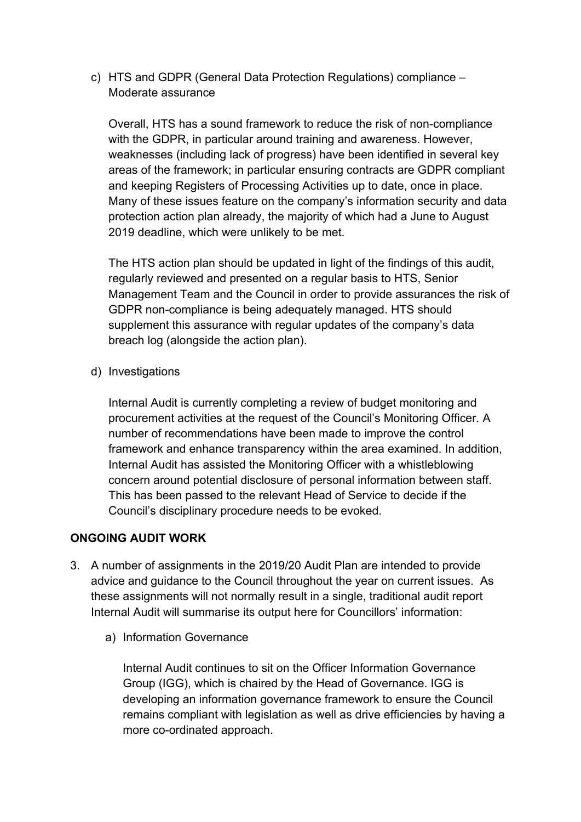c) HTS and GDPR (General Data Protection Regulations) compliance – Moderate assurance

Overall, HTS has a sound framework to reduce the risk of non-compliance with the GDPR, in particular around training and awareness. However, weaknesses (including lack of progress) have been identified in several key areas of the framework; in particular ensuring contracts are GDPR compliant and keeping Registers of Processing Activities up to date, once in place. Many of these issues feature on the company's information security and data protection action plan already, the majority of which had a June to August 2019 deadline, which were unlikely to be met.

The HTS action plan should be updated in light of the findings of this audit, regularly reviewed and presented on a regular basis to HTS, Senior Management Team and the Council in order to provide assurances the risk of GDPR non-compliance is being adequately managed. HTS should supplement this assurance with regular updates of the company's data breach log (alongside the action plan).

d) Investigations

Internal Audit is currently completing a review of budget monitoring and procurement activities at the request of the Council's Monitoring Officer. A number of recommendations have been made to improve the control framework and enhance transparency within the area examined. In addition, Internal Audit has assisted the Monitoring Officer with a whistleblowing concern around potential disclosure of personal information between staff. This has been passed to the relevant Head of Service to decide if the Council's disciplinary procedure needs to be evoked.

# **ONGOING AUDIT WORK**

- 3. A number of assignments in the 2019/20 Audit Plan are intended to provide advice and guidance to the Council throughout the year on current issues. As these assignments will not normally result in a single, traditional audit report Internal Audit will summarise its output here for Councillors' information:
	- a) Information Governance

Internal Audit continues to sit on the Officer Information Governance Group (IGG), which is chaired by the Head of Governance. IGG is developing an information governance framework to ensure the Council remains compliant with legislation as well as drive efficiencies by having a more co-ordinated approach.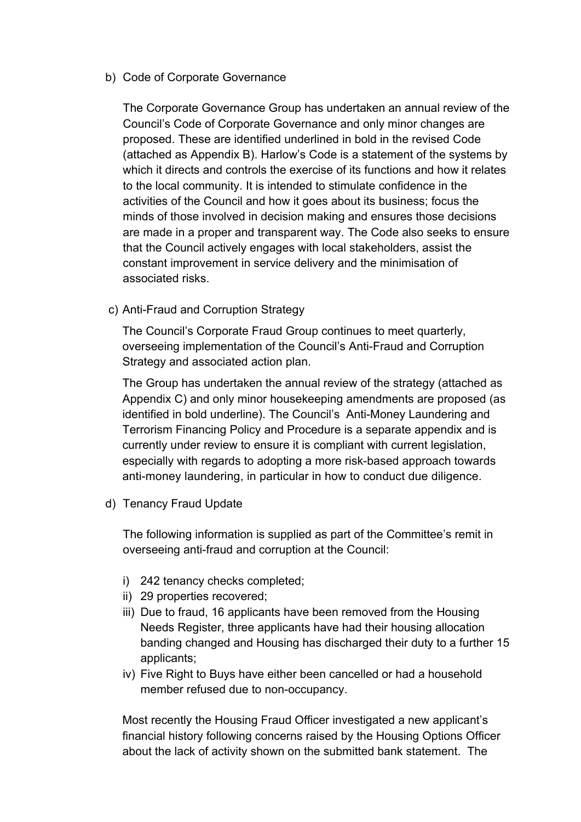b) Code of Corporate Governance

The Corporate Governance Group has undertaken an annual review of the Council's Code of Corporate Governance and only minor changes are proposed. These are identified underlined in bold in the revised Code (attached as Appendix B). Harlow's Code is a statement of the systems by which it directs and controls the exercise of its functions and how it relates to the local community. It is intended to stimulate confidence in the activities of the Council and how it goes about its business; focus the minds of those involved in decision making and ensures those decisions are made in a proper and transparent way. The Code also seeks to ensure that the Council actively engages with local stakeholders, assist the constant improvement in service delivery and the minimisation of associated risks.

c) Anti-Fraud and Corruption Strategy

The Council's Corporate Fraud Group continues to meet quarterly, overseeing implementation of the Council's Anti-Fraud and Corruption Strategy and associated action plan.

The Group has undertaken the annual review of the strategy (attached as Appendix C) and only minor housekeeping amendments are proposed (as identified in bold underline). The Council's Anti-Money Laundering and Terrorism Financing Policy and Procedure is a separate appendix and is currently under review to ensure it is compliant with current legislation, especially with regards to adopting a more risk-based approach towards anti-money laundering, in particular in how to conduct due diligence.

d) Tenancy Fraud Update

The following information is supplied as part of the Committee's remit in overseeing anti-fraud and corruption at the Council:

- i) 242 tenancy checks completed;
- ii) 29 properties recovered;
- iii) Due to fraud, 16 applicants have been removed from the Housing Needs Register, three applicants have had their housing allocation banding changed and Housing has discharged their duty to a further 15 applicants;
- iv) Five Right to Buys have either been cancelled or had a household member refused due to non-occupancy.

Most recently the Housing Fraud Officer investigated a new applicant's financial history following concerns raised by the Housing Options Officer about the lack of activity shown on the submitted bank statement. The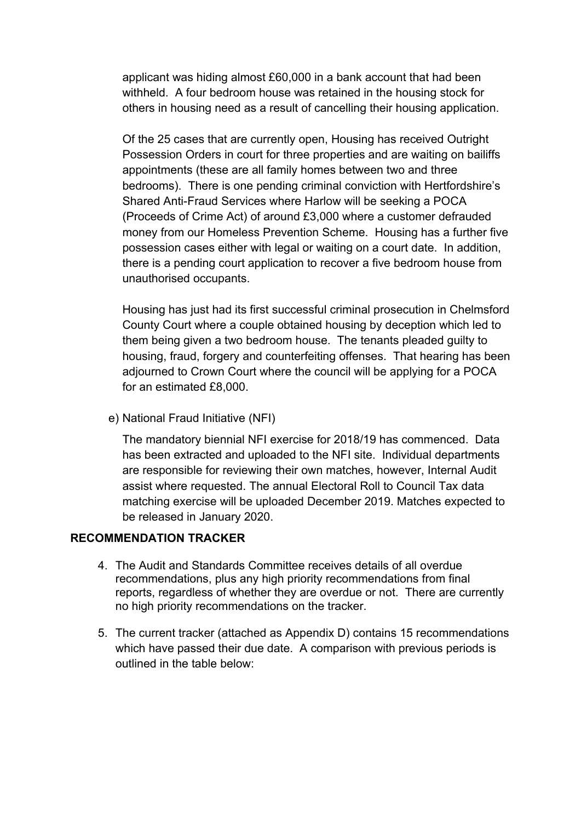applicant was hiding almost £60,000 in a bank account that had been withheld. A four bedroom house was retained in the housing stock for others in housing need as a result of cancelling their housing application.

Of the 25 cases that are currently open, Housing has received Outright Possession Orders in court for three properties and are waiting on bailiffs appointments (these are all family homes between two and three bedrooms). There is one pending criminal conviction with Hertfordshire's Shared Anti-Fraud Services where Harlow will be seeking a POCA (Proceeds of Crime Act) of around £3,000 where a customer defrauded money from our Homeless Prevention Scheme. Housing has a further five possession cases either with legal or waiting on a court date. In addition, there is a pending court application to recover a five bedroom house from unauthorised occupants.

Housing has just had its first successful criminal prosecution in Chelmsford County Court where a couple obtained housing by deception which led to them being given a two bedroom house. The tenants pleaded guilty to housing, fraud, forgery and counterfeiting offenses. That hearing has been adjourned to Crown Court where the council will be applying for a POCA for an estimated £8,000.

e) National Fraud Initiative (NFI)

The mandatory biennial NFI exercise for 2018/19 has commenced. Data has been extracted and uploaded to the NFI site. Individual departments are responsible for reviewing their own matches, however, Internal Audit assist where requested. The annual Electoral Roll to Council Tax data matching exercise will be uploaded December 2019. Matches expected to be released in January 2020.

#### **RECOMMENDATION TRACKER**

- 4. The Audit and Standards Committee receives details of all overdue recommendations, plus any high priority recommendations from final reports, regardless of whether they are overdue or not. There are currently no high priority recommendations on the tracker.
- 5. The current tracker (attached as Appendix D) contains 15 recommendations which have passed their due date. A comparison with previous periods is outlined in the table below: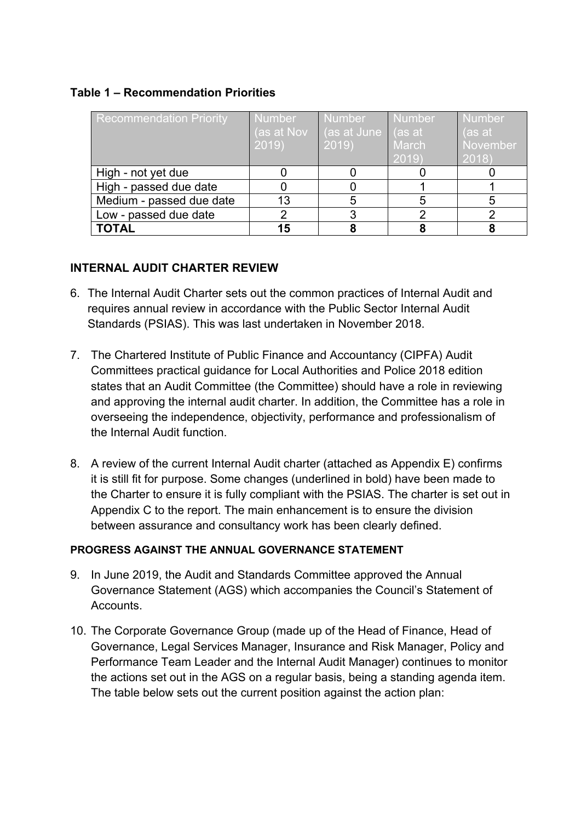#### **Table 1 – Recommendation Priorities**

| <b>Recommendation Priority</b> | <b>Number</b><br>(as at Nov<br>2019 | Number<br>(as at June   (as at<br>2019 | <b>Number</b><br><b>March</b><br>2019 | <b>Number</b><br>(as at<br>November<br>2018) |
|--------------------------------|-------------------------------------|----------------------------------------|---------------------------------------|----------------------------------------------|
| High - not yet due             |                                     |                                        |                                       |                                              |
| High - passed due date         |                                     |                                        |                                       |                                              |
| Medium - passed due date       | 13                                  | 5                                      |                                       | 5                                            |
| Low - passed due date          |                                     |                                        |                                       |                                              |
| <b>TOTAL</b>                   |                                     |                                        |                                       |                                              |

#### **INTERNAL AUDIT CHARTER REVIEW**

- 6. The Internal Audit Charter sets out the common practices of Internal Audit and requires annual review in accordance with the Public Sector Internal Audit Standards (PSIAS). This was last undertaken in November 2018.
- 7. The Chartered Institute of Public Finance and Accountancy (CIPFA) Audit Committees practical guidance for Local Authorities and Police 2018 edition states that an Audit Committee (the Committee) should have a role in reviewing and approving the internal audit charter. In addition, the Committee has a role in overseeing the independence, objectivity, performance and professionalism of the Internal Audit function.
- 8. A review of the current Internal Audit charter (attached as Appendix E) confirms it is still fit for purpose. Some changes (underlined in bold) have been made to the Charter to ensure it is fully compliant with the PSIAS. The charter is set out in Appendix C to the report. The main enhancement is to ensure the division between assurance and consultancy work has been clearly defined.

#### **PROGRESS AGAINST THE ANNUAL GOVERNANCE STATEMENT**

- 9. In June 2019, the Audit and Standards Committee approved the Annual Governance Statement (AGS) which accompanies the Council's Statement of **Accounts**
- 10. The Corporate Governance Group (made up of the Head of Finance, Head of Governance, Legal Services Manager, Insurance and Risk Manager, Policy and Performance Team Leader and the Internal Audit Manager) continues to monitor the actions set out in the AGS on a regular basis, being a standing agenda item. The table below sets out the current position against the action plan: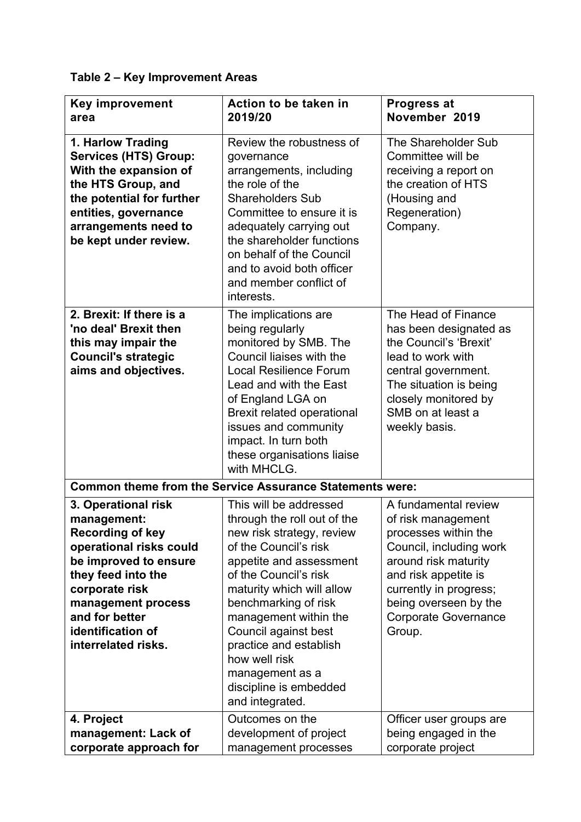# **Table 2 – Key Improvement Areas**

| <b>Key improvement</b><br>area                                                                                                                                                                                                                | Action to be taken in<br>2019/20                                                                                                                                                                                                                                                                                                                                                 | <b>Progress at</b><br>November 2019                                                                                                                                                                                                       |
|-----------------------------------------------------------------------------------------------------------------------------------------------------------------------------------------------------------------------------------------------|----------------------------------------------------------------------------------------------------------------------------------------------------------------------------------------------------------------------------------------------------------------------------------------------------------------------------------------------------------------------------------|-------------------------------------------------------------------------------------------------------------------------------------------------------------------------------------------------------------------------------------------|
| 1. Harlow Trading<br><b>Services (HTS) Group:</b><br>With the expansion of<br>the HTS Group, and<br>the potential for further<br>entities, governance<br>arrangements need to<br>be kept under review.                                        | Review the robustness of<br>governance<br>arrangements, including<br>the role of the<br><b>Shareholders Sub</b><br>Committee to ensure it is<br>adequately carrying out<br>the shareholder functions<br>on behalf of the Council<br>and to avoid both officer<br>and member conflict of<br>interests.                                                                            | The Shareholder Sub<br>Committee will be<br>receiving a report on<br>the creation of HTS<br>(Housing and<br>Regeneration)<br>Company.                                                                                                     |
| 2. Brexit: If there is a<br>'no deal' Brexit then<br>this may impair the<br><b>Council's strategic</b><br>aims and objectives.                                                                                                                | The implications are<br>being regularly<br>monitored by SMB. The<br>Council liaises with the<br><b>Local Resilience Forum</b><br>Lead and with the East<br>of England LGA on<br><b>Brexit related operational</b><br>issues and community<br>impact. In turn both<br>these organisations liaise<br>with MHCLG.                                                                   | The Head of Finance<br>has been designated as<br>the Council's 'Brexit'<br>lead to work with<br>central government.<br>The situation is being<br>closely monitored by<br>SMB on at least a<br>weekly basis.                               |
|                                                                                                                                                                                                                                               | <b>Common theme from the Service Assurance Statements were:</b>                                                                                                                                                                                                                                                                                                                  |                                                                                                                                                                                                                                           |
| 3. Operational risk<br>management:<br><b>Recording of key</b><br>operational risks could<br>be improved to ensure<br>they feed into the<br>corporate risk<br>management process<br>and for better<br>identification of<br>interrelated risks. | This will be addressed<br>through the roll out of the<br>new risk strategy, review<br>of the Council's risk<br>appetite and assessment<br>of the Council's risk<br>maturity which will allow<br>benchmarking of risk<br>management within the<br>Council against best<br>practice and establish<br>how well risk<br>management as a<br>discipline is embedded<br>and integrated. | A fundamental review<br>of risk management<br>processes within the<br>Council, including work<br>around risk maturity<br>and risk appetite is<br>currently in progress;<br>being overseen by the<br><b>Corporate Governance</b><br>Group. |
| 4. Project<br>management: Lack of<br>corporate approach for                                                                                                                                                                                   | Outcomes on the<br>development of project<br>management processes                                                                                                                                                                                                                                                                                                                | Officer user groups are<br>being engaged in the<br>corporate project                                                                                                                                                                      |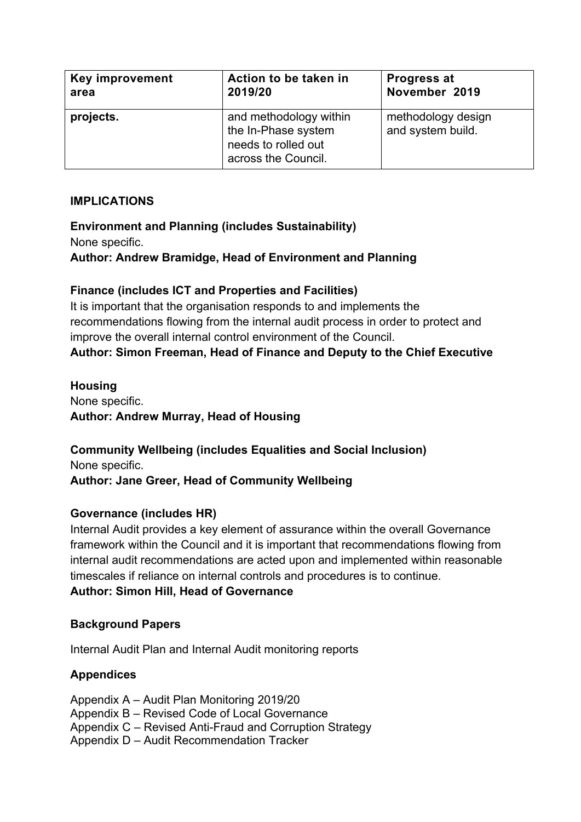| <b>Key improvement</b> | Action to be taken in                                                                       | <b>Progress at</b>                      |
|------------------------|---------------------------------------------------------------------------------------------|-----------------------------------------|
| area                   | 2019/20                                                                                     | November 2019                           |
| projects.              | and methodology within<br>the In-Phase system<br>needs to rolled out<br>across the Council. | methodology design<br>and system build. |

#### **IMPLICATIONS**

# **Environment and Planning (includes Sustainability)** None specific. **Author: Andrew Bramidge, Head of Environment and Planning**

# **Finance (includes ICT and Properties and Facilities)**

It is important that the organisation responds to and implements the recommendations flowing from the internal audit process in order to protect and improve the overall internal control environment of the Council. **Author: Simon Freeman, Head of Finance and Deputy to the Chief Executive**

# **Housing**

None specific. **Author: Andrew Murray, Head of Housing**

**Community Wellbeing (includes Equalities and Social Inclusion)** None specific. **Author: Jane Greer, Head of Community Wellbeing**

# **Governance (includes HR)**

Internal Audit provides a key element of assurance within the overall Governance framework within the Council and it is important that recommendations flowing from internal audit recommendations are acted upon and implemented within reasonable timescales if reliance on internal controls and procedures is to continue. **Author: Simon Hill, Head of Governance**

# **Background Papers**

Internal Audit Plan and Internal Audit monitoring reports

# **Appendices**

Appendix A – Audit Plan Monitoring 2019/20 Appendix B – Revised Code of Local Governance Appendix C – Revised Anti-Fraud and Corruption Strategy Appendix D – Audit Recommendation Tracker